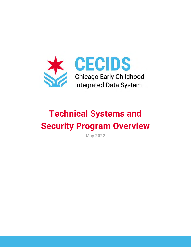

# **Technical Systems and Security Program Overview**

**May 2022**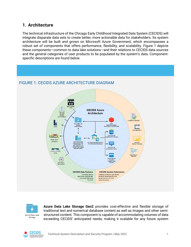# **1. Architecture**

The technical infrastructure of the Chicago Early Childhood Integrated Data System (CECIDS) will integrate disparate data sets to create better, more actionable data for stakeholders. Its system architecture will be built and grown on Microsoft Azure Government, which encompasses a robust set of components that offers performance, flexibility, and scalability. Figure 1 depicts these components—common to data lake solutions—and their relations to CECIDS data sources and the general categories of user products to be populated by the system's data. Componentspecific descriptions are found below.





**Azure Data Lake Storage Gen2** provides cost-effective and flexible storage of traditional text and numerical database content as well as images and other semistructured content. This component is capable of accommodating volumes of data exceeding CECIDS' anticipated needs, making it scalable for any future system

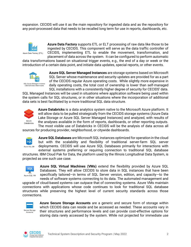expansion. CECIDS will use it as the main repository for ingested data and as the repository for any post-processed data that needs to be recalled long term for use in reports, dashboards, etc.



**Azure Data Factory** supports ETL or ELT processing of raw data like those to be ingested by CECIDS. This component will serve as the data traffic controller of CECIDS, implementing ETL to enable the movement, transformation, and placement of data across the system. It can be configured to perform automatic

data transformations based on situational trigger events, e.g., the end of a day or week or the introduction of a certain data point, and initiate data updates, special reports, or other events.



**Azure SQL Server Managed Instances** are storage systems based on Microsoft SQL Server whose maintenance and security updates are provided for as a part of the CECIDS regular Azure operating costs. While slightly more expensive in daily operating costs, the total cost of ownership is lower than self-managed SQL installations with a consistently higher degree of security for CECIDS' data.

SQL Managed Instances will be used in situations where application software being used within the system calls for SQL structures, or in other situations where the incorporation of additional data sets is best facilitated by a more traditional SQL data structure.



**Azure Databricks** is a data analytics system native to the Microsoft Azure platform. It will allow data to be pulled strategically from the CECIDS storage systems (Azure Data Lake Storage or Azure SQL Server Managed Instances) and analyzed, with results of the analyses available in the form of reports, dashboards, or other reporting outputs.

The most visible use of Databricks in CECIDS will be the analysis of data across all sources for producing provider, neighborhood, or citywide dashboards.



**Azure SQL Databases** are Microsoft SQL instances optimized for operation in the cloud but with the scalability and flexibility of traditional server-farm SQL server deployments. CECIDS will use Azure SQL Databases primarily for interactions with external systems preferring or requiring connection to traditional SQL database

structures. IBM Cloud Pak for Data, the platform used by the Illinois Longitudinal Data System, is projected as one such use case.



**Azure SQL Virtual Machines (VMs)** extend the flexibility provided by Azure SQL Databases. They will allow CECIDS to store data in SQL instances that have been specifically tailored—in terms of SQL Server version, edition, and capacity—to the needs of software systems connecting to its data. The automated management and

upgrade of cloud-based systems can outpace that of connecting systems. Azure VMs maintain connections with applications whose code continues to look for traditional SQL database structures while preserving the highest level of current security standards across those connections.



**Azure Secure Storage Accounts** are a generic and secure form of storage within which CECIDS data can reside and be accessed as needed. These accounts vary in their structures and performance levels and can provide cost-effective options for storing data rarely accessed by the system. While not projected for immediate use

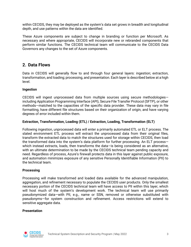within CECIDS, they may be deployed as the system's data set grows in breadth and longitudinal depth, and use patterns within the data are identified.

These Azure components are subject to change in branding or function per Microsoft. As necessary and where appropriate, CECIDS will incorporate new or rebranded components that perform similar functions. The CECIDS technical team will communicate to the CECIDS Data Governors any changes to the set of Azure components.

## **2. Data Flows**

Data in CECIDS will generally flow to and through four general layers: ingestion; extraction, transformation, and loading; processing, and presentation. Each layer is described below at a high level.

## **Ingestion**

CECIDS will ingest unprocessed data from multiple sources using secure methodologies including Application Programming Interface (API), Secure File Transfer Protocol (SFTP), or other methods—matched to the capacities of the specific data provider. These data may vary in file formatting, have different file structures based on their organization of origin, and have varying degrees of error included within them.

## **Extraction, Transformation, Loading (ETL) / Extraction, Loading, Transformation (ELT)**

Following ingestion, unprocessed data will enter a primarily automated ETL or ELT process. The slated environment ETL process will extract the unprocessed data from their original files, transform the extracted data to match the structures used for storage within CECIDS, then load the transformed data into the system's data platform for further processing. An ELT process which instead extracts, loads, then transforms the data—is being considered as an alternative, with an ultimate determination to be made by the CECIDS technical team pending capacity and need. Regardless of process, Azure's firewall protects data in this layer against public exposure, and automation minimizes exposure of any sensitive Personally Identifiable Information (PII) to the technical team.

## **Processing**

Processing will make transformed and loaded data available for the advanced manipulation, aggregation, and refinement necessary to populate the CECIDS user products. Only the smallest necessary portion of the CECIDS technical team will have access to PII within this layer, which will host much of the system's development work. The technical team will use primarily pseudonymized data—with PII, e.g., name or SSN, removed or otherwise substituted with pseudonyms—for system construction and refinement. Access restrictions will extend to sensitive aggregate data.

## **Presentation**

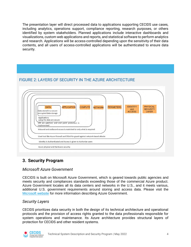The presentation layer will direct processed data to applications supporting CECIDS use cases, including analytics, operations support, compliance reporting, research purposes, or others identified by system stakeholders. Planned applications include interactive dashboards and visualizations, custom web applications and reports, and statistical software to perform analytics and research. Applications will be access-controlled depending upon the sensitivity of their data contents, and all users of access-controlled applications will be authenticated to ensure data security.

# FIGURE 2: LAYERS OF SECURITY IN THE AZURE ARCHITECTURE



# **3. Security Program**

## *Microsoft Azure Government*

CECIDS is built on Microsoft Azure Government, which is geared towards public agencies and meets security and compliances standards exceeding those of the commercial Azure product. Azure Government locates all its data centers and networks in the U.S., and it meets various, additional U.S. government requirements around storing and access data. Please visit the [Microsoft website](https://docs.microsoft.com/en-us/azure/azure-government/) for more information describing Azure Government.

## *Security Layers*

CECIDS prioritizes data security in both the design of its technical architecture and operational protocols and the provision of access rights granted to the data professionals responsible for system operations and maintenance. Its Azure architecture provides structural layers of protection for CECIDS and other resident systems.

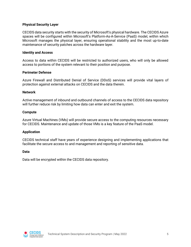## **Physical Security Layer**

CECIDS data security starts with the security of Microsoft's physical hardware. The CECIDS Azure spaces will be configured within Microsoft's Platform-As-A-Service (PaaS) model, within which Microsoft manages the physical layer, ensuring operational stability and the most up-to-date maintenance of security patches across the hardware layer.

## **Identity and Access**

Access to data within CECIDS will be restricted to authorized users, who will only be allowed access to portions of the system relevant to their position and purpose.

#### **Perimeter Defense**

Azure Firewall and Distributed Denial of Service (DDoS) services will provide vital layers of protection against external attacks on CECIDS and the data therein.

#### **Network**

Active management of inbound and outbound channels of access to the CECIDS data repository will further reduce risk by limiting how data can enter and exit the system.

#### **Compute**

Azure Virtual Machines (VMs) will provide secure access to the computing resources necessary for CECIDS. Maintenance and update of those VMs is a key feature of the PaaS model.

## **Application**

CECIDS technical staff have years of experience designing and implementing applications that facilitate the secure access to and management and reporting of sensitive data.

#### **Data**

Data will be encrypted within the CECIDS data repository.

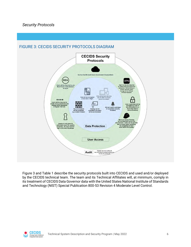## *Security Protocols*



Figure 3 and Table 1 describe the security protocols built into CECIDS and used and/or deployed by the CECIDS technical team. The team and its Technical Affiliates will, at minimum, comply in its treatment of CECIDS Data Governor data with the United States National Institute of Standards and Technology (NIST) Special Publication 800-53 Revision 4 Moderate Level Control.

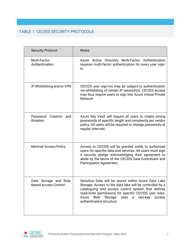# TABLE 1: CECIDS SECURITY PROTOCOLS

| <b>Security Protocol</b>                              | <b>Notes</b>                                                                                                                                                                                                                                                                                                    |
|-------------------------------------------------------|-----------------------------------------------------------------------------------------------------------------------------------------------------------------------------------------------------------------------------------------------------------------------------------------------------------------|
| Multi-Factor<br>Authentication                        | Azure Active Directory Multi-Factor Authentication<br>requires multi-factor authentication for every user sign-<br>in.                                                                                                                                                                                          |
| IP Whitelisting and/or VPN                            | CECIDS user sign-ins may be subject to authentication<br>via whitelisting of certain IP network(s). CECIDS access<br>may thus require users to sign into Azure Virtual Private<br>Network.                                                                                                                      |
| Creation<br>Password<br>and<br>Rotation               | Azure Key Vault will require all users to create strong<br>passwords of specific length and complexity per vendor<br>policy. All users will be required to change passwords at<br>regular intervals.                                                                                                            |
| <b>Minimal Access Policy</b>                          | Access to CECIDS will be granted solely to authorized<br>users for specific data and services. All users must sign<br>a security pledge acknowledging their agreement to<br>abide by the terms of the CECIDS Data Contributor and<br><b>Participation Agreement</b>                                             |
| Data Storage and Role-<br><b>Based Access Control</b> | Sensitive Data will be stored within Azure Data Lake<br>Storage. Access to the data lake will be controlled by a<br>cataloguing and access control system that defines<br>read/write permissions for specific CECIDS user roles.<br>Blob Storage uses a two-key<br>Azure<br>access<br>authentication structure. |

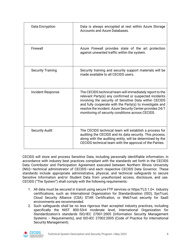| Data Encryption          | Data is always encrypted at rest within Azure Storage<br>Accounts and Azure Databases.                                                                                                                                                                                                                                                                    |
|--------------------------|-----------------------------------------------------------------------------------------------------------------------------------------------------------------------------------------------------------------------------------------------------------------------------------------------------------------------------------------------------------|
| Firewall                 | Azure Firewall provides state of the art protection<br>against unwanted traffic within the system.                                                                                                                                                                                                                                                        |
| <b>Security Training</b> | Security training and security support materials will be<br>made available to all CECIDS users.                                                                                                                                                                                                                                                           |
| Incident Response        | The CECIDS technical team will immediately report to the<br>relevant Party(s) any confirmed or suspected incidents<br>involving the security of Sensitive Data within CECIDS<br>and fully cooperate with the Party(s) to investigate and<br>resolve the incident. Azure Security Center provides 24/7<br>monitoring of security conditions across CECIDS. |
| <b>Security Audit</b>    | The CECIDS technical team will establish a process for<br>auditing the CECIDS and its data security. This process,<br>along with the auditing entity, will be determined by the<br>CECIDS technical team with the approval of the Parties.                                                                                                                |

CECIDS will store and process Sensitive Data, including personally identifiable information, in accordance with industry best practices compliant with the standards set forth in the CECIDS Data Contributor and Participation Agreement executed between Northern Illinois University (NIU)—technical administrator of CECIDS—and each respective CECIDS Data Governor. These standards include appropriate administrative, physical, and technical safeguards to secure Sensitive Information and/or Student Data from unauthorized access, disclosure, and use. CECIDS ("The System") shall comply with the following requirements:

- 1. All data must be secured in transit using secure FTP services or https/TLS 1.0+. Industry certifications, such as International Organization for Standardization (ISO), SysTrust, Cloud Security Alliance (CSA) STAR Certification, or WebTrust security for SaaS environments are recommended.
- 2. Such safeguards shall be no less rigorous than accepted industry practices, including specifically the NIST 800-53r4 moderate level, International Organization for Standardization's standards ISO/IEC 27001:2005 (Information Security Management Systems – Requirements), and ISO-IEC 27002:2005 (Code of Practice for International Security Management).

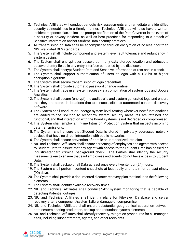- 3. Technical Affiliates will conduct periodic risk assessments and remediate any identified security vulnerabilities in a timely manner. Technical Affiliates will also have a written incident response plan, to include prompt notification of the Data Governor in the event of a security or privacy incident, as well as best practices for responding to a breach of Sensitive Information and/or Student Data security practices.
- 4. All transmission of Data shall be accomplished through encryption of no less rigor than NIST-validated DES standards.
- 5. The System shall include component and system level fault tolerance and redundancy in system design.
- 6. The System shall encrypt user passwords in any data storage location and obfuscate password entry fields in any entry interface controlled by the discloser.
- 7. The System shall encrypt Student Data and Sensitive Information at-rest and in-transit.
- 8. The System shall support authentication of users at login with a 128-bit or higher encryption algorithm.
- 9. The System shall secure transmission of login credentials.
- 10. The System shall provide automatic password change routine.
- 11. The System shall trace user system access via a combination of system logs and Google Analytics.
- 12. The System shall secure (encrypt) the audit trails and system generated logs and ensure that they are stored in locations that are inaccessible to automated content discovery software.
- 13. The System shall conduct or undergo system level testing whenever new functionalities are added to the Solution to reconfirm system security measures are retained and functional, and that interaction with the Board systems is not degraded or compromised.
- 14. The System shall employ an in-line Intrusion Protection System that inspects incoming data transmissions.
- 15. The System shall ensure that Student Data is stored in privately addressed network devices that have no direct interaction with public networks.
- 16. The System shall ensure prevention of hostile or unauthorized intrusion.
- 17. NIU and Technical Affiliates shall ensure screening of employees and agents with access to Student Data to assure that any agent with access to the Student Data has passed an industry-standard criminal background check. The Parties shall identify the security measures taken to ensure that said employees and agents do not have access to Student Data.
- 18. The System shall backup of all Data at least once every twenty-four (24) hours.
- 19. The System shall perform content snapshots at least daily and retain for at least ninety (90) days.
- 20. The System shall provide a documented disaster recovery plan that includes the following elements:
- 21. The System shall identify available recovery times.
- 22. NIU and Technical Affiliates shall conduct 24x7 system monitoring that is capable of detecting Potential outages.
- 23. NIU and Technical Affiliates shall identify plans for File-level, Database and server recovery after a component/system failure, damage or compromise.
- 24. NIU and Technical Affiliates shall ensure substantial geographical separation between data centers hosting production, backup and redundant system elements.
- 25. NIU and Technical Affiliates shall identify recovery/mitigation procedures for all managed sites, including subcontractors, agents, and other recipients.